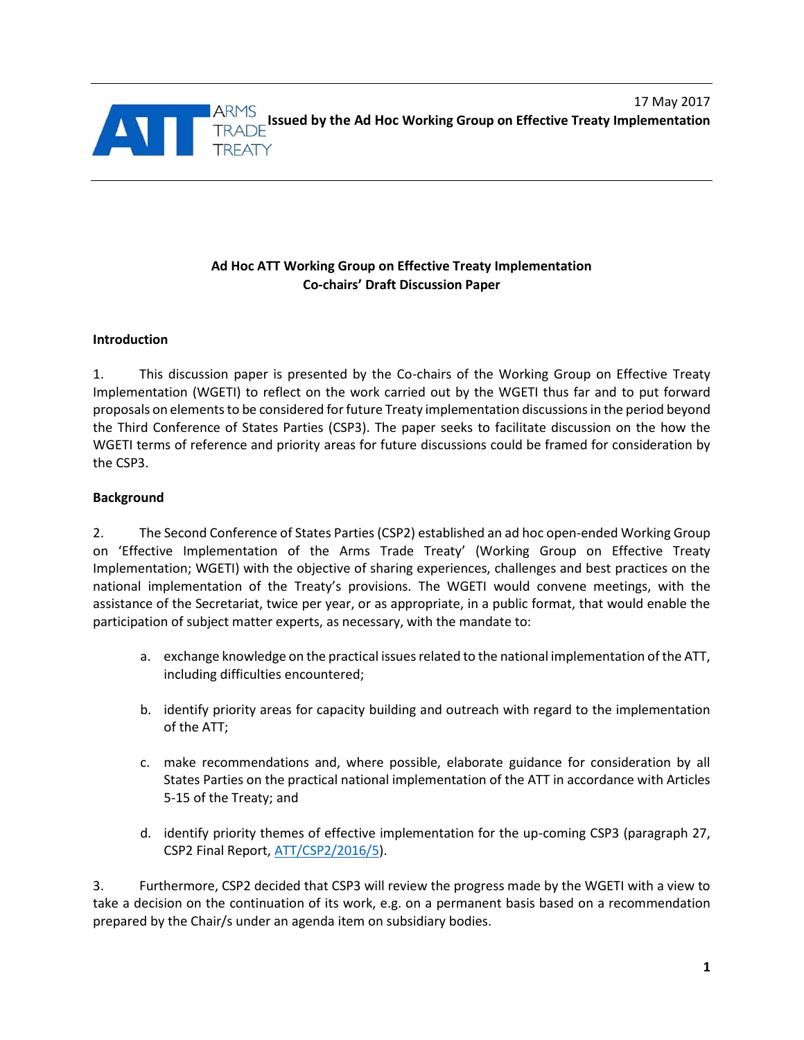

# **Ad Hoc ATT Working Group on Effective Treaty Implementation Co-chairs' Draft Discussion Paper**

## **Introduction**

1. This discussion paper is presented by the Co-chairs of the Working Group on Effective Treaty Implementation (WGETI) to reflect on the work carried out by the WGETI thus far and to put forward proposals on elements to be considered for future Treaty implementation discussionsin the period beyond the Third Conference of States Parties (CSP3). The paper seeks to facilitate discussion on the how the WGETI terms of reference and priority areas for future discussions could be framed for consideration by the CSP3.

### **Background**

2. The Second Conference of States Parties (CSP2) established an ad hoc open-ended Working Group on 'Effective Implementation of the Arms Trade Treaty' (Working Group on Effective Treaty Implementation; WGETI) with the objective of sharing experiences, challenges and best practices on the national implementation of the Treaty's provisions. The WGETI would convene meetings, with the assistance of the Secretariat, twice per year, or as appropriate, in a public format, that would enable the participation of subject matter experts, as necessary, with the mandate to:

- a. exchange knowledge on the practical issues related to the national implementation of the ATT, including difficulties encountered;
- b. identify priority areas for capacity building and outreach with regard to the implementation of the ATT;
- c. make recommendations and, where possible, elaborate guidance for consideration by all States Parties on the practical national implementation of the ATT in accordance with Articles 5-15 of the Treaty; and
- d. identify priority themes of effective implementation for the up-coming CSP3 (paragraph 27, CSP2 Final Report, [ATT/CSP2/2016/5\)](http://www.thearmstradetreaty.org/images/ATT_documents/Final_Report_ATT_CSP2_2016_5.pdf).

3. Furthermore, CSP2 decided that CSP3 will review the progress made by the WGETI with a view to take a decision on the continuation of its work, e.g. on a permanent basis based on a recommendation prepared by the Chair/s under an agenda item on subsidiary bodies.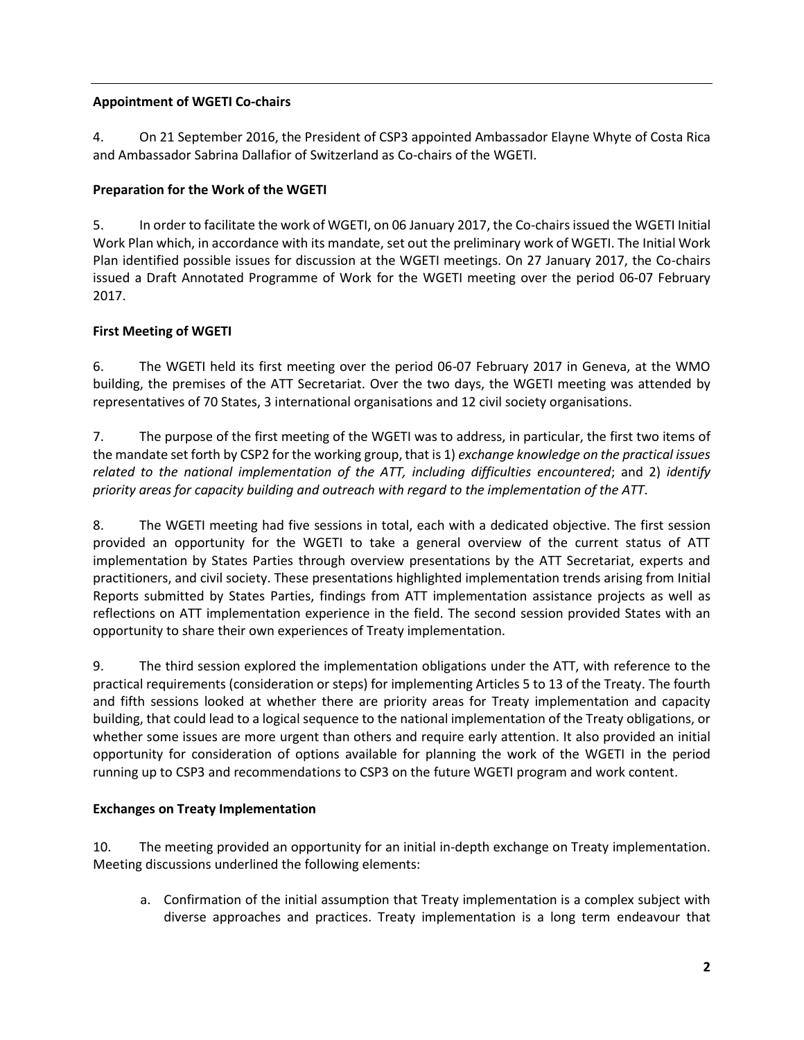# **Appointment of WGETI Co-chairs**

4. On 21 September 2016, the President of CSP3 appointed Ambassador Elayne Whyte of Costa Rica and Ambassador Sabrina Dallafior of Switzerland as Co-chairs of the WGETI.

# **Preparation for the Work of the WGETI**

5. In order to facilitate the work of WGETI, on 06 January 2017, the Co-chairs issued the WGET[I Initial](http://www.thearmstradetreaty.org/images/CSP3_Documents/WG_documents/ATT_Working_Group_on_Effective_Treaty_Implementation_-_Initial_Work_Plan_6_January_2017.pdf) [Work](http://www.thearmstradetreaty.org/images/CSP3_Documents/WG_documents/ATT_Working_Group_on_Effective_Treaty_Implementation_-_Initial_Work_Plan_6_January_2017.pdf) Plan which, in accordance with its mandate, set out the preliminary work of WGETI. The Initial Work Plan identified possible issues for discussion at the WGETI meetings. On 27 January 2017, the Co-chairs issued a [Draft Annotated Programme of Work](http://www.thearmstradetreaty.org/images/CSP3_Documents/WGETI_-_Draft_Annotated_Programme_of_Work_for_meeting_on_6-7_February_2017.pdf) for the WGETI meeting over the period 06-07 February 2017.

# **First Meeting of WGETI**

6. The WGETI held its first meeting over the period 06-07 February 2017 in Geneva, at the WMO building, the premises of the ATT Secretariat. Over the two days, the WGETI meeting was attended by representatives of 70 States, 3 international organisations and 12 civil society organisations.

7. The purpose of the first meeting of the WGETI was to address, in particular, the first two items of the mandate set forth by CSP2 for the working group, that is 1) *exchange knowledge on the practical issues related to the national implementation of the ATT, including difficulties encountered*; and 2) *identify priority areas for capacity building and outreach with regard to the implementation of the ATT*.

8. The WGETI meeting had five sessions in total, each with a dedicated objective. The first session provided an opportunity for the WGETI to take a general overview of the current status of ATT implementation by States Parties through overview presentations by the ATT Secretariat, experts and practitioners, and civil society. These presentations highlighted implementation trends arising from Initial Reports submitted by States Parties, findings from ATT implementation assistance projects as well as reflections on ATT implementation experience in the field. The second session provided States with an opportunity to share their own experiences of Treaty implementation.

9. The third session explored the implementation obligations under the ATT, with reference to the practical requirements (consideration or steps) for implementing Articles 5 to 13 of the Treaty. The fourth and fifth sessions looked at whether there are priority areas for Treaty implementation and capacity building, that could lead to a logical sequence to the national implementation of the Treaty obligations, or whether some issues are more urgent than others and require early attention. It also provided an initial opportunity for consideration of options available for planning the work of the WGETI in the period running up to CSP3 and recommendations to CSP3 on the future WGETI program and work content.

## **Exchanges on Treaty Implementation**

10. The meeting provided an opportunity for an initial in-depth exchange on Treaty implementation. Meeting discussions underlined the following elements:

a. Confirmation of the initial assumption that Treaty implementation is a complex subject with diverse approaches and practices. Treaty implementation is a long term endeavour that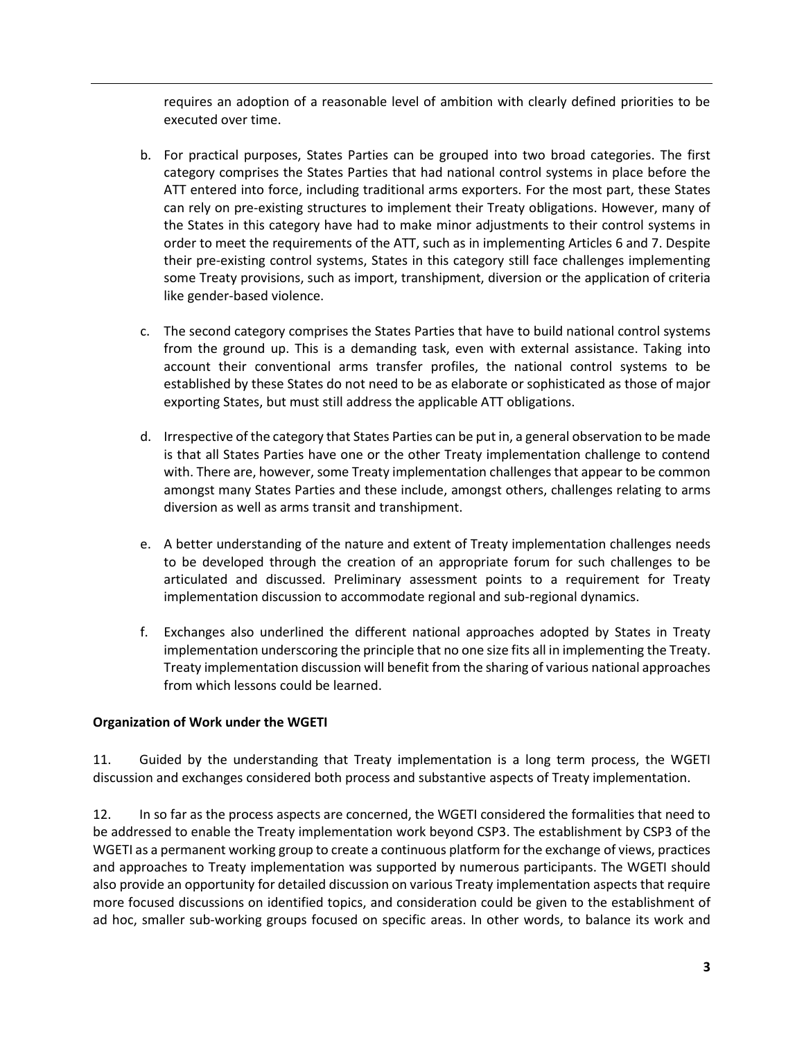requires an adoption of a reasonable level of ambition with clearly defined priorities to be executed over time.

- b. For practical purposes, States Parties can be grouped into two broad categories. The first category comprises the States Parties that had national control systems in place before the ATT entered into force, including traditional arms exporters. For the most part, these States can rely on pre-existing structures to implement their Treaty obligations. However, many of the States in this category have had to make minor adjustments to their control systems in order to meet the requirements of the ATT, such as in implementing Articles 6 and 7. Despite their pre-existing control systems, States in this category still face challenges implementing some Treaty provisions, such as import, transhipment, diversion or the application of criteria like gender-based violence.
- c. The second category comprises the States Parties that have to build national control systems from the ground up. This is a demanding task, even with external assistance. Taking into account their conventional arms transfer profiles, the national control systems to be established by these States do not need to be as elaborate or sophisticated as those of major exporting States, but must still address the applicable ATT obligations.
- d. Irrespective of the category that States Parties can be put in, a general observation to be made is that all States Parties have one or the other Treaty implementation challenge to contend with. There are, however, some Treaty implementation challenges that appear to be common amongst many States Parties and these include, amongst others, challenges relating to arms diversion as well as arms transit and transhipment.
- e. A better understanding of the nature and extent of Treaty implementation challenges needs to be developed through the creation of an appropriate forum for such challenges to be articulated and discussed. Preliminary assessment points to a requirement for Treaty implementation discussion to accommodate regional and sub-regional dynamics.
- f. Exchanges also underlined the different national approaches adopted by States in Treaty implementation underscoring the principle that no one size fits all in implementing the Treaty. Treaty implementation discussion will benefit from the sharing of various national approaches from which lessons could be learned.

## **Organization of Work under the WGETI**

11. Guided by the understanding that Treaty implementation is a long term process, the WGETI discussion and exchanges considered both process and substantive aspects of Treaty implementation.

12. In so far as the process aspects are concerned, the WGETI considered the formalities that need to be addressed to enable the Treaty implementation work beyond CSP3. The establishment by CSP3 of the WGETI as a permanent working group to create a continuous platform for the exchange of views, practices and approaches to Treaty implementation was supported by numerous participants. The WGETI should also provide an opportunity for detailed discussion on various Treaty implementation aspects that require more focused discussions on identified topics, and consideration could be given to the establishment of ad hoc, smaller sub-working groups focused on specific areas. In other words, to balance its work and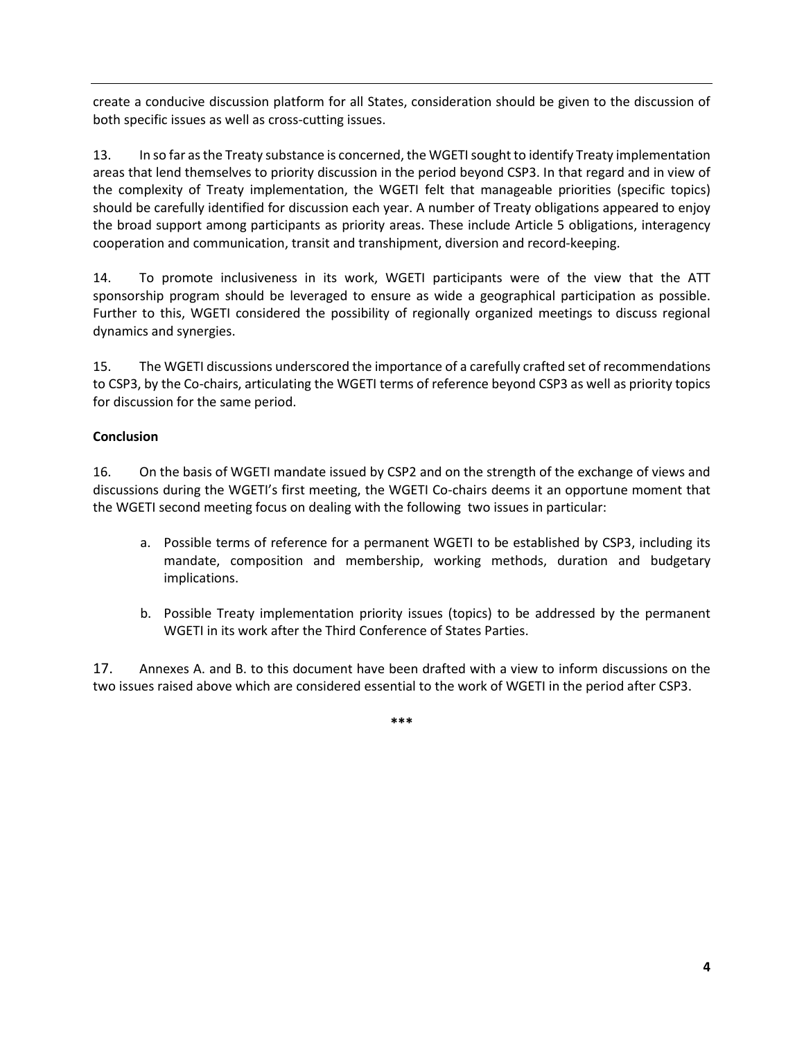create a conducive discussion platform for all States, consideration should be given to the discussion of both specific issues as well as cross-cutting issues.

13. In so far as the Treaty substance is concerned, the WGETI sought to identify Treaty implementation areas that lend themselves to priority discussion in the period beyond CSP3. In that regard and in view of the complexity of Treaty implementation, the WGETI felt that manageable priorities (specific topics) should be carefully identified for discussion each year. A number of Treaty obligations appeared to enjoy the broad support among participants as priority areas. These include Article 5 obligations, interagency cooperation and communication, transit and transhipment, diversion and record-keeping.

14. To promote inclusiveness in its work, WGETI participants were of the view that the ATT sponsorship program should be leveraged to ensure as wide a geographical participation as possible. Further to this, WGETI considered the possibility of regionally organized meetings to discuss regional dynamics and synergies.

15. The WGETI discussions underscored the importance of a carefully crafted set of recommendations to CSP3, by the Co-chairs, articulating the WGETI terms of reference beyond CSP3 as well as priority topics for discussion for the same period.

## **Conclusion**

16. On the basis of WGETI mandate issued by CSP2 and on the strength of the exchange of views and discussions during the WGETI's first meeting, the WGETI Co-chairs deems it an opportune moment that the WGETI second meeting focus on dealing with the following two issues in particular:

- a. Possible terms of reference for a permanent WGETI to be established by CSP3, including its mandate, composition and membership, working methods, duration and budgetary implications.
- b. Possible Treaty implementation priority issues (topics) to be addressed by the permanent WGETI in its work after the Third Conference of States Parties.

17. Annexes A. and B. to this document have been drafted with a view to inform discussions on the two issues raised above which are considered essential to the work of WGETI in the period after CSP3.

**\*\*\***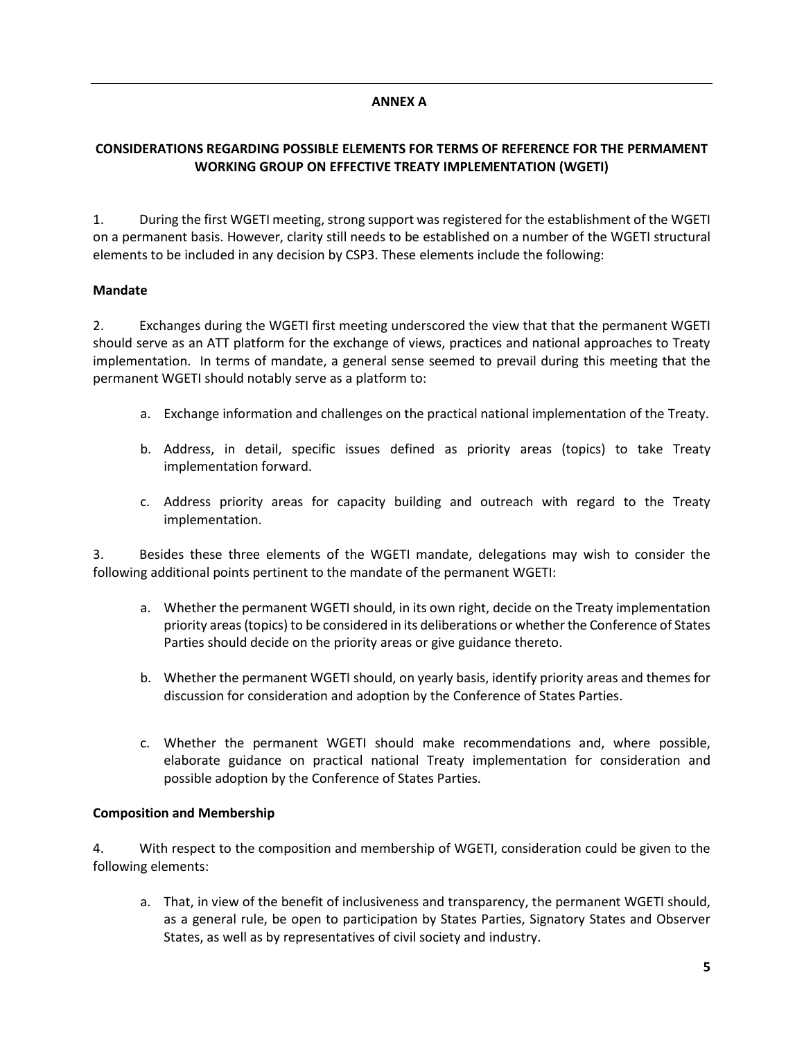### **ANNEX A**

# **CONSIDERATIONS REGARDING POSSIBLE ELEMENTS FOR TERMS OF REFERENCE FOR THE PERMAMENT WORKING GROUP ON EFFECTIVE TREATY IMPLEMENTATION (WGETI)**

1. During the first WGETI meeting, strong support was registered for the establishment of the WGETI on a permanent basis. However, clarity still needs to be established on a number of the WGETI structural elements to be included in any decision by CSP3. These elements include the following:

### **Mandate**

2. Exchanges during the WGETI first meeting underscored the view that that the permanent WGETI should serve as an ATT platform for the exchange of views, practices and national approaches to Treaty implementation. In terms of mandate, a general sense seemed to prevail during this meeting that the permanent WGETI should notably serve as a platform to:

- a. Exchange information and challenges on the practical national implementation of the Treaty.
- b. Address, in detail, specific issues defined as priority areas (topics) to take Treaty implementation forward.
- c. Address priority areas for capacity building and outreach with regard to the Treaty implementation.

3. Besides these three elements of the WGETI mandate, delegations may wish to consider the following additional points pertinent to the mandate of the permanent WGETI:

- a. Whether the permanent WGETI should, in its own right, decide on the Treaty implementation priority areas (topics) to be considered in its deliberations or whether the Conference of States Parties should decide on the priority areas or give guidance thereto.
- b. Whether the permanent WGETI should, on yearly basis, identify priority areas and themes for discussion for consideration and adoption by the Conference of States Parties.
- c. Whether the permanent WGETI should make recommendations and, where possible, elaborate guidance on practical national Treaty implementation for consideration and possible adoption by the Conference of States Parties.

#### **Composition and Membership**

4. With respect to the composition and membership of WGETI, consideration could be given to the following elements:

a. That, in view of the benefit of inclusiveness and transparency, the permanent WGETI should, as a general rule, be open to participation by States Parties, Signatory States and Observer States, as well as by representatives of civil society and industry.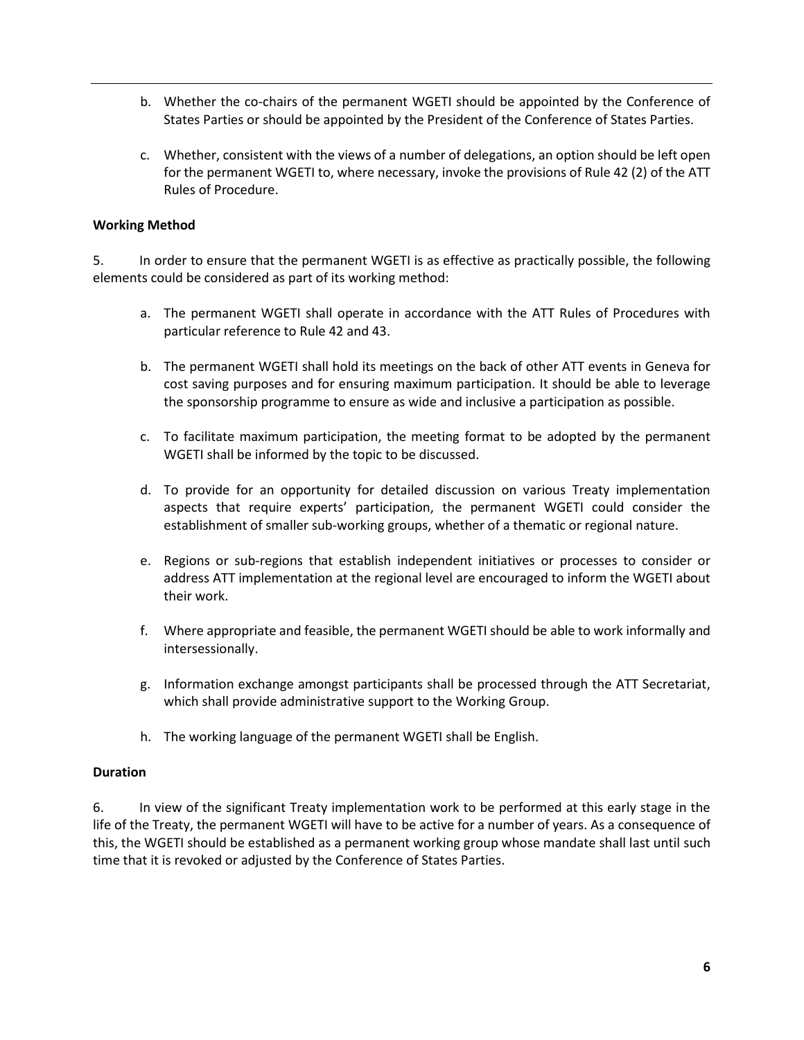- b. Whether the co-chairs of the permanent WGETI should be appointed by the Conference of States Parties or should be appointed by the President of the Conference of States Parties.
- c. Whether, consistent with the views of a number of delegations, an option should be left open for the permanent WGETI to, where necessary, invoke the provisions of Rule 42 (2) of the ATT Rules of Procedure.

#### **Working Method**

5. In order to ensure that the permanent WGETI is as effective as practically possible, the following elements could be considered as part of its working method:

- a. The permanent WGETI shall operate in accordance with the ATT Rules of Procedures with particular reference to Rule 42 and 43.
- b. The permanent WGETI shall hold its meetings on the back of other ATT events in Geneva for cost saving purposes and for ensuring maximum participation. It should be able to leverage the sponsorship programme to ensure as wide and inclusive a participation as possible.
- c. To facilitate maximum participation, the meeting format to be adopted by the permanent WGETI shall be informed by the topic to be discussed.
- d. To provide for an opportunity for detailed discussion on various Treaty implementation aspects that require experts' participation, the permanent WGETI could consider the establishment of smaller sub-working groups, whether of a thematic or regional nature.
- e. Regions or sub-regions that establish independent initiatives or processes to consider or address ATT implementation at the regional level are encouraged to inform the WGETI about their work.
- f. Where appropriate and feasible, the permanent WGETI should be able to work informally and intersessionally.
- g. Information exchange amongst participants shall be processed through the ATT Secretariat, which shall provide administrative support to the Working Group.
- h. The working language of the permanent WGETI shall be English.

#### **Duration**

6. In view of the significant Treaty implementation work to be performed at this early stage in the life of the Treaty, the permanent WGETI will have to be active for a number of years. As a consequence of this, the WGETI should be established as a permanent working group whose mandate shall last until such time that it is revoked or adjusted by the Conference of States Parties.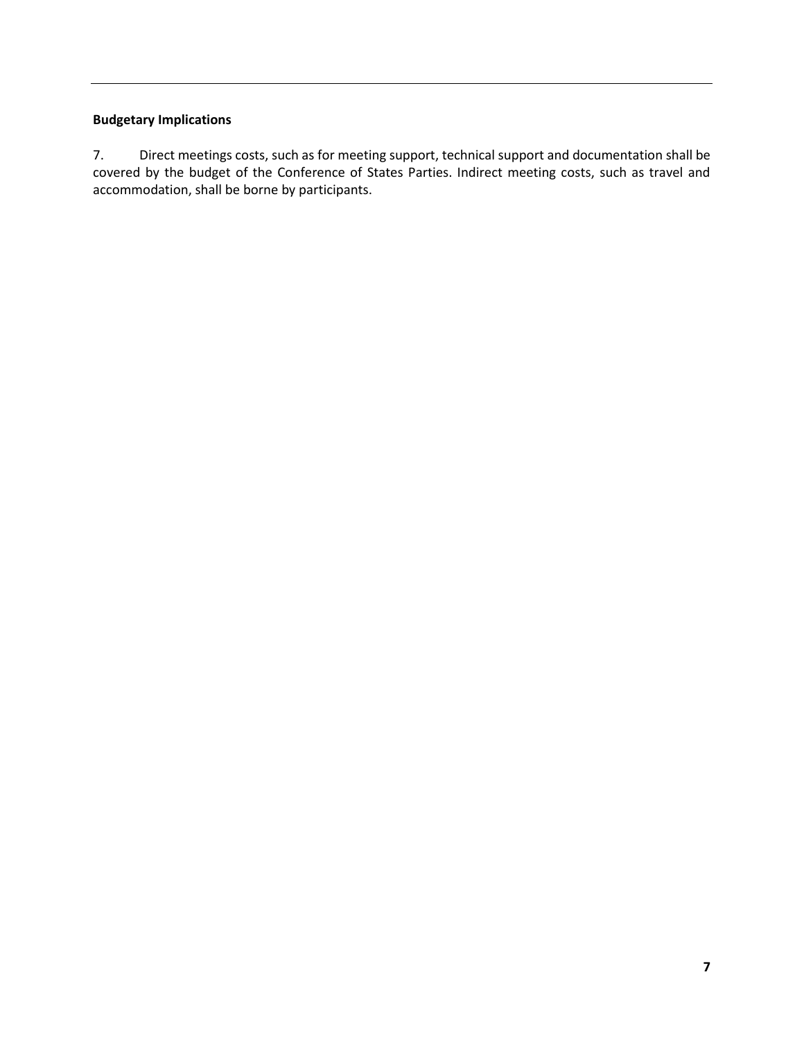# **Budgetary Implications**

7. Direct meetings costs, such as for meeting support, technical support and documentation shall be covered by the budget of the Conference of States Parties. Indirect meeting costs, such as travel and accommodation, shall be borne by participants.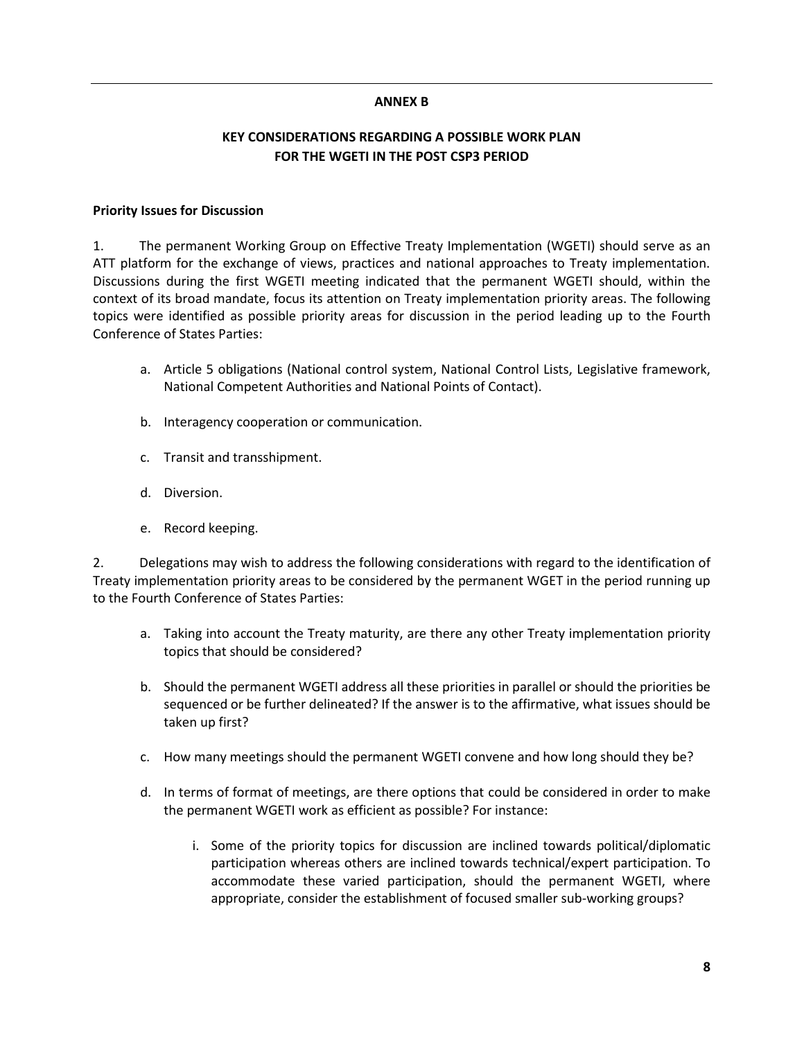#### **ANNEX B**

### **KEY CONSIDERATIONS REGARDING A POSSIBLE WORK PLAN FOR THE WGETI IN THE POST CSP3 PERIOD**

#### **Priority Issues for Discussion**

1. The permanent Working Group on Effective Treaty Implementation (WGETI) should serve as an ATT platform for the exchange of views, practices and national approaches to Treaty implementation. Discussions during the first WGETI meeting indicated that the permanent WGETI should, within the context of its broad mandate, focus its attention on Treaty implementation priority areas. The following topics were identified as possible priority areas for discussion in the period leading up to the Fourth Conference of States Parties:

- a. Article 5 obligations (National control system, National Control Lists, Legislative framework, National Competent Authorities and National Points of Contact).
- b. Interagency cooperation or communication.
- c. Transit and transshipment.
- d. Diversion.
- e. Record keeping.

2. Delegations may wish to address the following considerations with regard to the identification of Treaty implementation priority areas to be considered by the permanent WGET in the period running up to the Fourth Conference of States Parties:

- a. Taking into account the Treaty maturity, are there any other Treaty implementation priority topics that should be considered?
- b. Should the permanent WGETI address all these priorities in parallel or should the priorities be sequenced or be further delineated? If the answer is to the affirmative, what issues should be taken up first?
- c. How many meetings should the permanent WGETI convene and how long should they be?
- d. In terms of format of meetings, are there options that could be considered in order to make the permanent WGETI work as efficient as possible? For instance:
	- i. Some of the priority topics for discussion are inclined towards political/diplomatic participation whereas others are inclined towards technical/expert participation. To accommodate these varied participation, should the permanent WGETI, where appropriate, consider the establishment of focused smaller sub-working groups?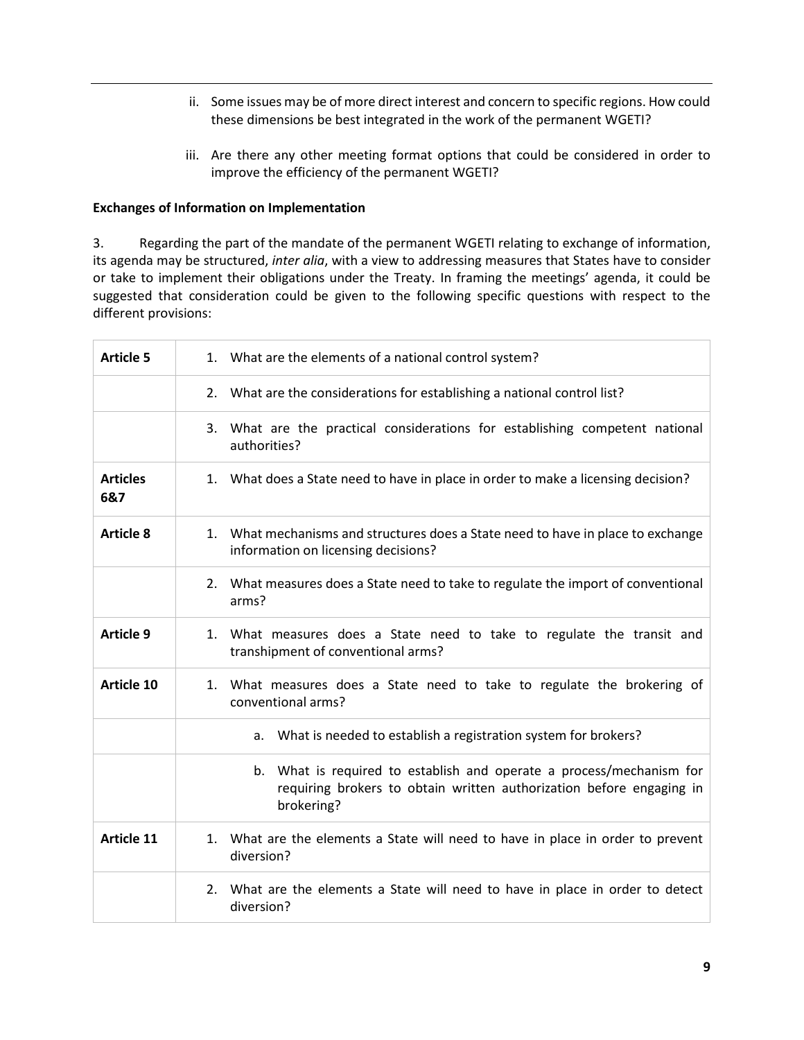- ii. Some issues may be of more direct interest and concern to specific regions. How could these dimensions be best integrated in the work of the permanent WGETI?
- iii. Are there any other meeting format options that could be considered in order to improve the efficiency of the permanent WGETI?

#### **Exchanges of Information on Implementation**

3. Regarding the part of the mandate of the permanent WGETI relating to exchange of information, its agenda may be structured, *inter alia*, with a view to addressing measures that States have to consider or take to implement their obligations under the Treaty. In framing the meetings' agenda, it could be suggested that consideration could be given to the following specific questions with respect to the different provisions:

| <b>Article 5</b>       | 1. What are the elements of a national control system?                                                                                                        |
|------------------------|---------------------------------------------------------------------------------------------------------------------------------------------------------------|
|                        | 2. What are the considerations for establishing a national control list?                                                                                      |
|                        | 3. What are the practical considerations for establishing competent national<br>authorities?                                                                  |
| <b>Articles</b><br>6&7 | 1. What does a State need to have in place in order to make a licensing decision?                                                                             |
| <b>Article 8</b>       | 1.<br>What mechanisms and structures does a State need to have in place to exchange<br>information on licensing decisions?                                    |
|                        | 2. What measures does a State need to take to regulate the import of conventional<br>arms?                                                                    |
| <b>Article 9</b>       | 1. What measures does a State need to take to regulate the transit and<br>transhipment of conventional arms?                                                  |
| <b>Article 10</b>      | 1. What measures does a State need to take to regulate the brokering of<br>conventional arms?                                                                 |
|                        | a. What is needed to establish a registration system for brokers?                                                                                             |
|                        | What is required to establish and operate a process/mechanism for<br>b.<br>requiring brokers to obtain written authorization before engaging in<br>brokering? |
| <b>Article 11</b>      | What are the elements a State will need to have in place in order to prevent<br>1.<br>diversion?                                                              |
|                        | What are the elements a State will need to have in place in order to detect<br>2.<br>diversion?                                                               |